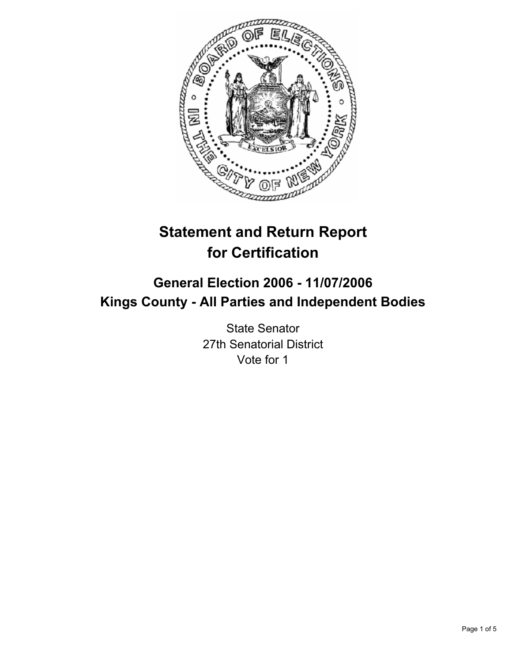

# **Statement and Return Report for Certification**

# **General Election 2006 - 11/07/2006 Kings County - All Parties and Independent Bodies**

State Senator 27th Senatorial District Vote for 1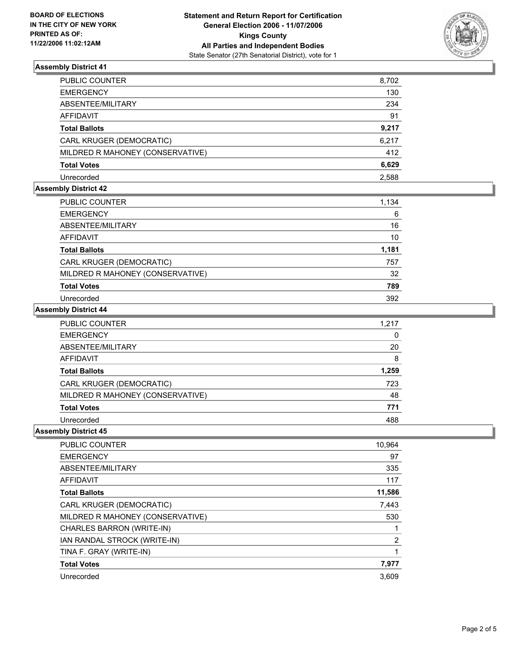

# **Assembly District 41**

| PUBLIC COUNTER                   | 8,702 |
|----------------------------------|-------|
| EMERGENCY                        | 130   |
| ABSENTEE/MILITARY                | 234   |
| AFFIDAVIT                        | 91    |
| Total Ballots                    | 9,217 |
| CARL KRUGER (DEMOCRATIC)         | 6,217 |
| MILDRED R MAHONEY (CONSERVATIVE) | 412   |
| Total Votes                      | 6,629 |
| Unrecorded                       | 2,588 |

### **Assembly District 42**

| PUBLIC COUNTER                   | 1,134 |
|----------------------------------|-------|
| <b>EMERGENCY</b>                 | 6     |
| ABSENTEE/MILITARY                | 16    |
| AFFIDAVIT                        | 10    |
| <b>Total Ballots</b>             | 1,181 |
| CARL KRUGER (DEMOCRATIC)         | 757   |
| MILDRED R MAHONEY (CONSERVATIVE) | 32    |
| <b>Total Votes</b>               | 789   |
| Unrecorded                       | 392   |

#### **Assembly District 44**

| PUBLIC COUNTER                   | 1,217 |
|----------------------------------|-------|
| <b>EMERGENCY</b>                 |       |
| ABSENTEE/MILITARY                | 20    |
| <b>AFFIDAVIT</b>                 | 8     |
| <b>Total Ballots</b>             | 1,259 |
| CARL KRUGER (DEMOCRATIC)         | 723   |
| MILDRED R MAHONEY (CONSERVATIVE) | 48    |
| <b>Total Votes</b>               | 771   |
| Unrecorded                       | 488   |

#### **Assembly District 45**

| <b>PUBLIC COUNTER</b>            | 10,964 |
|----------------------------------|--------|
| <b>EMERGENCY</b>                 | 97     |
| ABSENTEE/MILITARY                | 335    |
| AFFIDAVIT                        | 117    |
| <b>Total Ballots</b>             | 11,586 |
| CARL KRUGER (DEMOCRATIC)         | 7,443  |
| MILDRED R MAHONEY (CONSERVATIVE) | 530    |
| CHARLES BARRON (WRITE-IN)        |        |
| IAN RANDAL STROCK (WRITE-IN)     | 2      |
| TINA F. GRAY (WRITE-IN)          |        |
| <b>Total Votes</b>               | 7,977  |
| Unrecorded                       | 3,609  |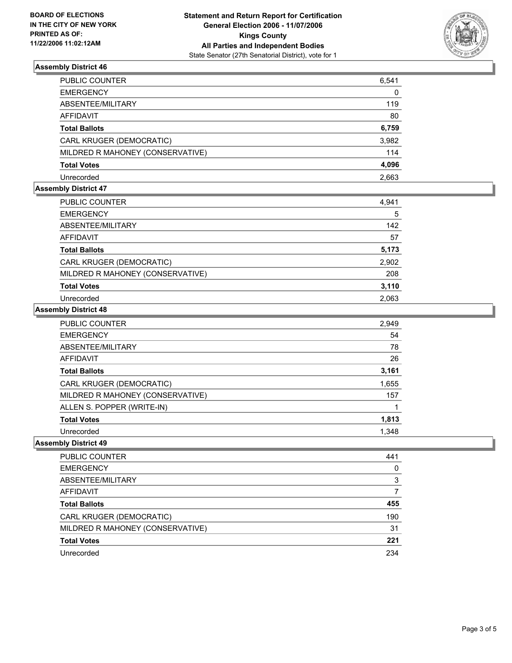

# **Assembly District 46**

| PUBLIC COUNTER                   | 6,541 |
|----------------------------------|-------|
| EMERGENCY                        | 0     |
| ABSENTEE/MILITARY                | 119   |
| AFFIDAVIT                        | 80    |
| Total Ballots                    | 6,759 |
| CARL KRUGER (DEMOCRATIC)         | 3,982 |
| MILDRED R MAHONEY (CONSERVATIVE) | 114   |
| Total Votes                      | 4,096 |
| Unrecorded                       | 2,663 |

# **Assembly District 47**

| PUBLIC COUNTER                   | 4,941 |
|----------------------------------|-------|
| <b>EMERGENCY</b>                 | 5     |
| ABSENTEE/MILITARY                | 142   |
| AFFIDAVIT                        | 57    |
| <b>Total Ballots</b>             | 5,173 |
| CARL KRUGER (DEMOCRATIC)         | 2,902 |
| MILDRED R MAHONEY (CONSERVATIVE) | 208   |
| <b>Total Votes</b>               | 3,110 |
| Unrecorded                       | 2.063 |

#### **Assembly District 48**

| PUBLIC COUNTER                   | 2,949 |
|----------------------------------|-------|
| <b>EMERGENCY</b>                 | 54    |
| ABSENTEE/MILITARY                | 78    |
| <b>AFFIDAVIT</b>                 | 26    |
| <b>Total Ballots</b>             | 3,161 |
| CARL KRUGER (DEMOCRATIC)         | 1,655 |
| MILDRED R MAHONEY (CONSERVATIVE) | 157   |
| ALLEN S. POPPER (WRITE-IN)       |       |
| <b>Total Votes</b>               | 1,813 |
| Unrecorded                       | 1.348 |

## **Assembly District 49**

| PUBLIC COUNTER                   | 441 |
|----------------------------------|-----|
| <b>EMERGENCY</b>                 |     |
| ABSENTEE/MILITARY                | 3   |
| <b>AFFIDAVIT</b>                 |     |
| <b>Total Ballots</b>             | 455 |
| CARL KRUGER (DEMOCRATIC)         | 190 |
| MILDRED R MAHONEY (CONSERVATIVE) | 31  |
| <b>Total Votes</b>               | 221 |
| Unrecorded                       | 234 |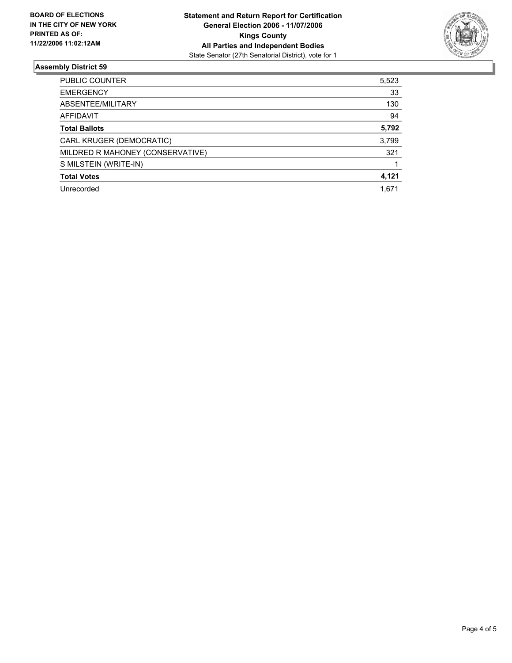

## **Assembly District 59**

| PUBLIC COUNTER                   | 5,523 |
|----------------------------------|-------|
| <b>EMERGENCY</b>                 | 33    |
| ABSENTEE/MILITARY                | 130   |
| <b>AFFIDAVIT</b>                 | 94    |
| <b>Total Ballots</b>             | 5,792 |
| CARL KRUGER (DEMOCRATIC)         | 3,799 |
| MILDRED R MAHONEY (CONSERVATIVE) | 321   |
| S MILSTEIN (WRITE-IN)            |       |
| <b>Total Votes</b>               | 4,121 |
| Unrecorded<br>1,671              |       |